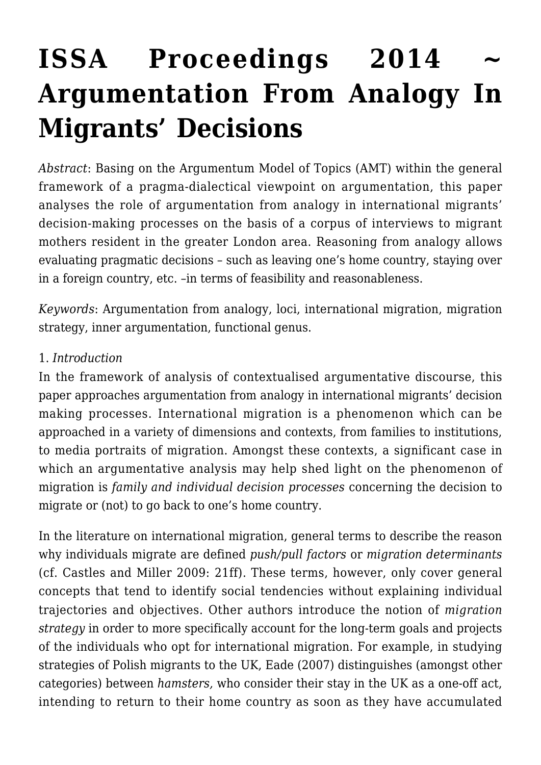# ISSA Proceedings 2014 **[Argumentation From Analogy In](https://rozenbergquarterly.com/issa-proceedings-2014-argumentation-from-analogy-in-migrants-decisions/) [Migrants' Decisions](https://rozenbergquarterly.com/issa-proceedings-2014-argumentation-from-analogy-in-migrants-decisions/)**

*Abstract*: Basing on the Argumentum Model of Topics (AMT) within the general framework of a pragma-dialectical viewpoint on argumentation, this paper analyses the role of argumentation from analogy in international migrants' decision-making processes on the basis of a corpus of interviews to migrant mothers resident in the greater London area. Reasoning from analogy allows evaluating pragmatic decisions – such as leaving one's home country, staying over in a foreign country, etc. –in terms of feasibility and reasonableness.

*Keywords*: Argumentation from analogy, loci, international migration, migration strategy, inner argumentation, functional genus.

## 1. *Introduction*

In the framework of analysis of contextualised argumentative discourse, this paper approaches argumentation from analogy in international migrants' decision making processes. International migration is a phenomenon which can be approached in a variety of dimensions and contexts, from families to institutions, to media portraits of migration. Amongst these contexts, a significant case in which an argumentative analysis may help shed light on the phenomenon of migration is *family and individual decision processes* concerning the decision to migrate or (not) to go back to one's home country.

In the literature on international migration, general terms to describe the reason why individuals migrate are defined *push/pull factors* or *migration determinants* (cf. Castles and Miller 2009: 21ff). These terms, however, only cover general concepts that tend to identify social tendencies without explaining individual trajectories and objectives. Other authors introduce the notion of *migration strategy* in order to more specifically account for the long-term goals and projects of the individuals who opt for international migration. For example, in studying strategies of Polish migrants to the UK, Eade (2007) distinguishes (amongst other categories) between *hamsters,* who consider their stay in the UK as a one-off act, intending to return to their home country as soon as they have accumulated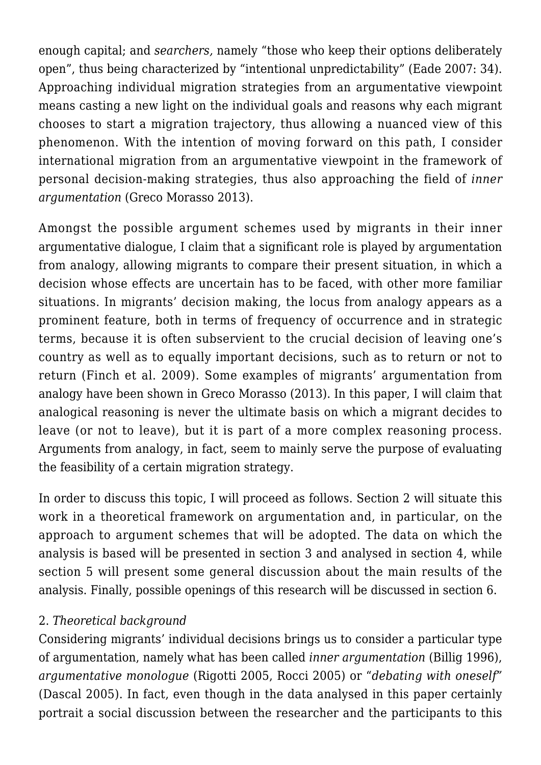enough capital; and *searchers,* namely "those who keep their options deliberately open", thus being characterized by "intentional unpredictability" (Eade 2007: 34). Approaching individual migration strategies from an argumentative viewpoint means casting a new light on the individual goals and reasons why each migrant chooses to start a migration trajectory, thus allowing a nuanced view of this phenomenon. With the intention of moving forward on this path, I consider international migration from an argumentative viewpoint in the framework of personal decision-making strategies, thus also approaching the field of *inner argumentation* (Greco Morasso 2013).

Amongst the possible argument schemes used by migrants in their inner argumentative dialogue, I claim that a significant role is played by argumentation from analogy, allowing migrants to compare their present situation, in which a decision whose effects are uncertain has to be faced, with other more familiar situations. In migrants' decision making, the locus from analogy appears as a prominent feature, both in terms of frequency of occurrence and in strategic terms, because it is often subservient to the crucial decision of leaving one's country as well as to equally important decisions, such as to return or not to return (Finch et al. 2009). Some examples of migrants' argumentation from analogy have been shown in Greco Morasso (2013). In this paper, I will claim that analogical reasoning is never the ultimate basis on which a migrant decides to leave (or not to leave), but it is part of a more complex reasoning process. Arguments from analogy, in fact, seem to mainly serve the purpose of evaluating the feasibility of a certain migration strategy.

In order to discuss this topic, I will proceed as follows. Section 2 will situate this work in a theoretical framework on argumentation and, in particular, on the approach to argument schemes that will be adopted. The data on which the analysis is based will be presented in section 3 and analysed in section 4, while section 5 will present some general discussion about the main results of the analysis. Finally, possible openings of this research will be discussed in section 6.

## 2. *Theoretical background*

Considering migrants' individual decisions brings us to consider a particular type of argumentation, namely what has been called *inner argumentation* (Billig 1996), *argumentative monologue* (Rigotti 2005, Rocci 2005) or "*debating with oneself"* (Dascal 2005). In fact, even though in the data analysed in this paper certainly portrait a social discussion between the researcher and the participants to this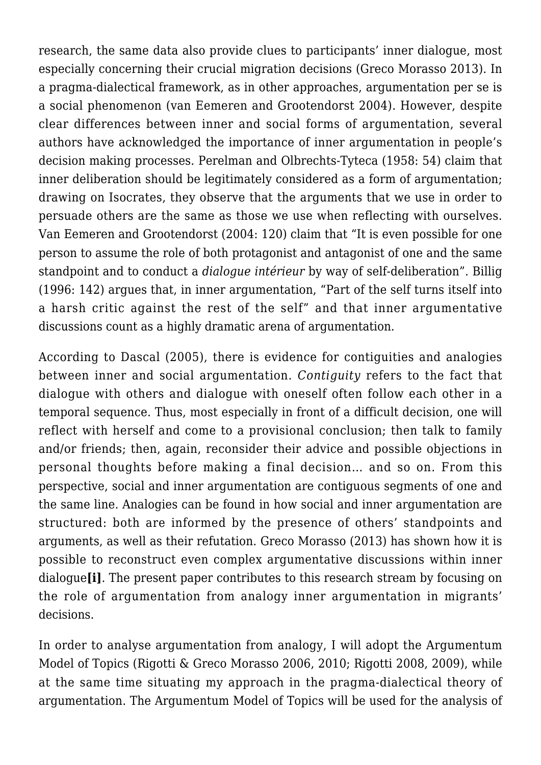research, the same data also provide clues to participants' inner dialogue, most especially concerning their crucial migration decisions (Greco Morasso 2013). In a pragma-dialectical framework, as in other approaches, argumentation per se is a social phenomenon (van Eemeren and Grootendorst 2004). However, despite clear differences between inner and social forms of argumentation, several authors have acknowledged the importance of inner argumentation in people's decision making processes. Perelman and Olbrechts-Tyteca (1958: 54) claim that inner deliberation should be legitimately considered as a form of argumentation: drawing on Isocrates, they observe that the arguments that we use in order to persuade others are the same as those we use when reflecting with ourselves. Van Eemeren and Grootendorst (2004: 120) claim that "It is even possible for one person to assume the role of both protagonist and antagonist of one and the same standpoint and to conduct a *dialogue intérieur* by way of self-deliberation". Billig (1996: 142) argues that, in inner argumentation, "Part of the self turns itself into a harsh critic against the rest of the self" and that inner argumentative discussions count as a highly dramatic arena of argumentation.

According to Dascal (2005), there is evidence for contiguities and analogies between inner and social argumentation. *Contiguity* refers to the fact that dialogue with others and dialogue with oneself often follow each other in a temporal sequence. Thus, most especially in front of a difficult decision, one will reflect with herself and come to a provisional conclusion; then talk to family and/or friends; then, again, reconsider their advice and possible objections in personal thoughts before making a final decision… and so on. From this perspective, social and inner argumentation are contiguous segments of one and the same line. Analogies can be found in how social and inner argumentation are structured: both are informed by the presence of others' standpoints and arguments, as well as their refutation. Greco Morasso (2013) has shown how it is possible to reconstruct even complex argumentative discussions within inner dialogue**[i]**. The present paper contributes to this research stream by focusing on the role of argumentation from analogy inner argumentation in migrants' decisions.

In order to analyse argumentation from analogy, I will adopt the Argumentum Model of Topics (Rigotti & Greco Morasso 2006, 2010; Rigotti 2008, 2009), while at the same time situating my approach in the pragma-dialectical theory of argumentation. The Argumentum Model of Topics will be used for the analysis of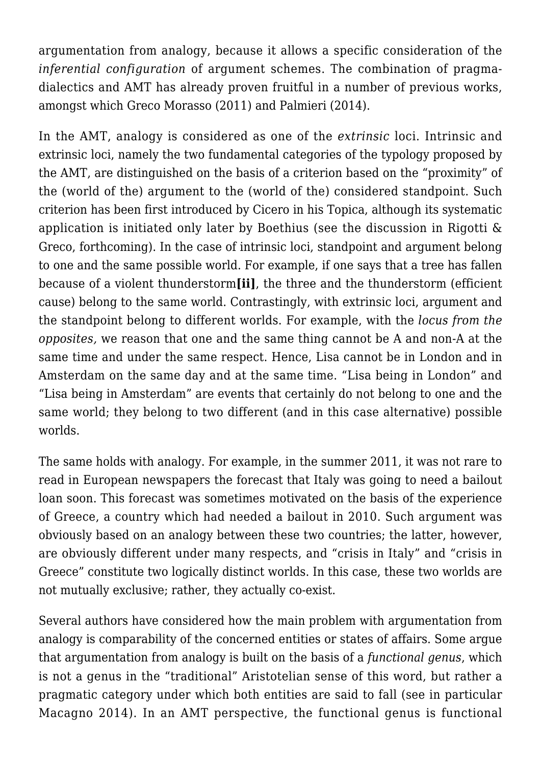argumentation from analogy, because it allows a specific consideration of the *inferential configuration* of argument schemes. The combination of pragmadialectics and AMT has already proven fruitful in a number of previous works, amongst which Greco Morasso (2011) and Palmieri (2014).

In the AMT, analogy is considered as one of the *extrinsic* loci. Intrinsic and extrinsic loci, namely the two fundamental categories of the typology proposed by the AMT, are distinguished on the basis of a criterion based on the "proximity" of the (world of the) argument to the (world of the) considered standpoint. Such criterion has been first introduced by Cicero in his Topica, although its systematic application is initiated only later by Boethius (see the discussion in Rigotti & Greco, forthcoming). In the case of intrinsic loci, standpoint and argument belong to one and the same possible world. For example, if one says that a tree has fallen because of a violent thunderstorm**[ii]**, the three and the thunderstorm (efficient cause) belong to the same world. Contrastingly, with extrinsic loci, argument and the standpoint belong to different worlds. For example, with the *locus from the opposites,* we reason that one and the same thing cannot be A and non-A at the same time and under the same respect. Hence, Lisa cannot be in London and in Amsterdam on the same day and at the same time. "Lisa being in London" and "Lisa being in Amsterdam" are events that certainly do not belong to one and the same world; they belong to two different (and in this case alternative) possible worlds.

The same holds with analogy. For example, in the summer 2011, it was not rare to read in European newspapers the forecast that Italy was going to need a bailout loan soon. This forecast was sometimes motivated on the basis of the experience of Greece, a country which had needed a bailout in 2010. Such argument was obviously based on an analogy between these two countries; the latter, however, are obviously different under many respects, and "crisis in Italy" and "crisis in Greece" constitute two logically distinct worlds. In this case, these two worlds are not mutually exclusive; rather, they actually co-exist.

Several authors have considered how the main problem with argumentation from analogy is comparability of the concerned entities or states of affairs. Some argue that argumentation from analogy is built on the basis of a *functional genus*, which is not a genus in the "traditional" Aristotelian sense of this word, but rather a pragmatic category under which both entities are said to fall (see in particular Macagno 2014). In an AMT perspective, the functional genus is functional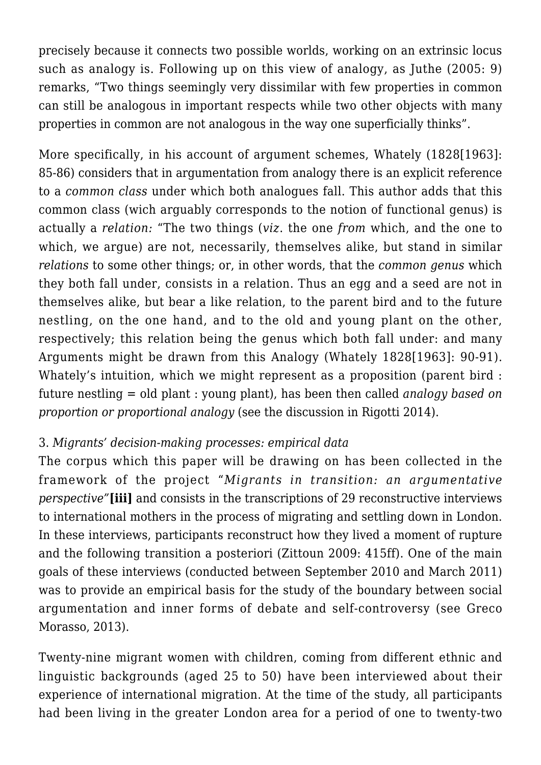precisely because it connects two possible worlds, working on an extrinsic locus such as analogy is. Following up on this view of analogy, as Juthe (2005: 9) remarks, "Two things seemingly very dissimilar with few properties in common can still be analogous in important respects while two other objects with many properties in common are not analogous in the way one superficially thinks".

More specifically, in his account of argument schemes, Whately (1828[1963]: 85-86) considers that in argumentation from analogy there is an explicit reference to a *common class* under which both analogues fall. This author adds that this common class (wich arguably corresponds to the notion of functional genus) is actually a *relation:* "The two things (*viz*. the one *from* which, and the one to which, we argue) are not, necessarily, themselves alike, but stand in similar *relations* to some other things; or, in other words, that the *common genus* which they both fall under, consists in a relation. Thus an egg and a seed are not in themselves alike, but bear a like relation, to the parent bird and to the future nestling, on the one hand, and to the old and young plant on the other, respectively; this relation being the genus which both fall under: and many Arguments might be drawn from this Analogy (Whately 1828[1963]: 90-91). Whately's intuition, which we might represent as a proposition (parent bird : future nestling = old plant : young plant), has been then called *analogy based on proportion or proportional analogy* (see the discussion in Rigotti 2014).

## 3. *Migrants' decision-making processes: empirical data*

The corpus which this paper will be drawing on has been collected in the framework of the project "*Migrants in transition: an argumentative perspective"***[iii]** and consists in the transcriptions of 29 reconstructive interviews to international mothers in the process of migrating and settling down in London. In these interviews, participants reconstruct how they lived a moment of rupture and the following transition a posteriori (Zittoun 2009: 415ff). One of the main goals of these interviews (conducted between September 2010 and March 2011) was to provide an empirical basis for the study of the boundary between social argumentation and inner forms of debate and self-controversy (see Greco Morasso, 2013).

Twenty-nine migrant women with children, coming from different ethnic and linguistic backgrounds (aged 25 to 50) have been interviewed about their experience of international migration. At the time of the study, all participants had been living in the greater London area for a period of one to twenty-two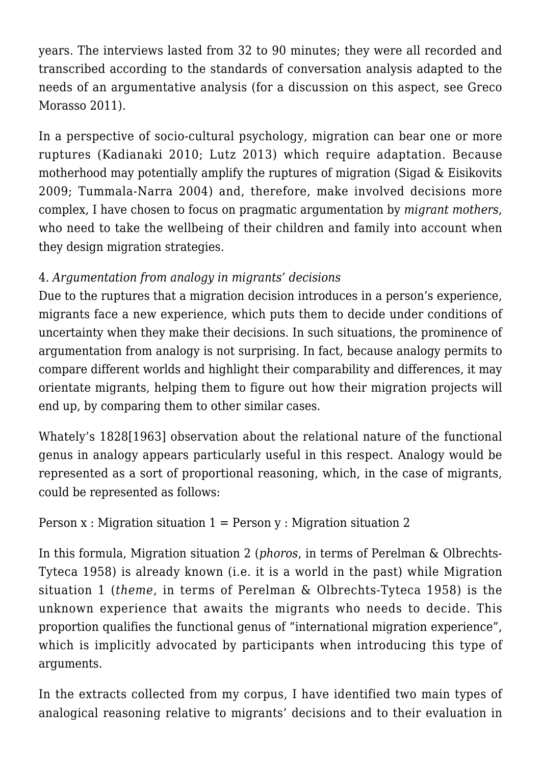years. The interviews lasted from 32 to 90 minutes; they were all recorded and transcribed according to the standards of conversation analysis adapted to the needs of an argumentative analysis (for a discussion on this aspect, see Greco Morasso 2011).

In a perspective of socio-cultural psychology, migration can bear one or more ruptures (Kadianaki 2010; Lutz 2013) which require adaptation. Because motherhood may potentially amplify the ruptures of migration (Sigad & Eisikovits 2009; Tummala-Narra 2004) and, therefore, make involved decisions more complex, I have chosen to focus on pragmatic argumentation by *migrant mothers*, who need to take the wellbeing of their children and family into account when they design migration strategies.

# 4. *Argumentation from analogy in migrants' decisions*

Due to the ruptures that a migration decision introduces in a person's experience, migrants face a new experience, which puts them to decide under conditions of uncertainty when they make their decisions. In such situations, the prominence of argumentation from analogy is not surprising. In fact, because analogy permits to compare different worlds and highlight their comparability and differences, it may orientate migrants, helping them to figure out how their migration projects will end up, by comparing them to other similar cases.

Whately's 1828[1963] observation about the relational nature of the functional genus in analogy appears particularly useful in this respect. Analogy would be represented as a sort of proportional reasoning, which, in the case of migrants, could be represented as follows:

```
Person x : Migration situation 1 = Person y : Migration situation 2
```
In this formula, Migration situation 2 (*phoros*, in terms of Perelman & Olbrechts-Tyteca 1958) is already known (i.e. it is a world in the past) while Migration situation 1 (*theme*, in terms of Perelman & Olbrechts-Tyteca 1958) is the unknown experience that awaits the migrants who needs to decide. This proportion qualifies the functional genus of "international migration experience", which is implicitly advocated by participants when introducing this type of arguments.

In the extracts collected from my corpus, I have identified two main types of analogical reasoning relative to migrants' decisions and to their evaluation in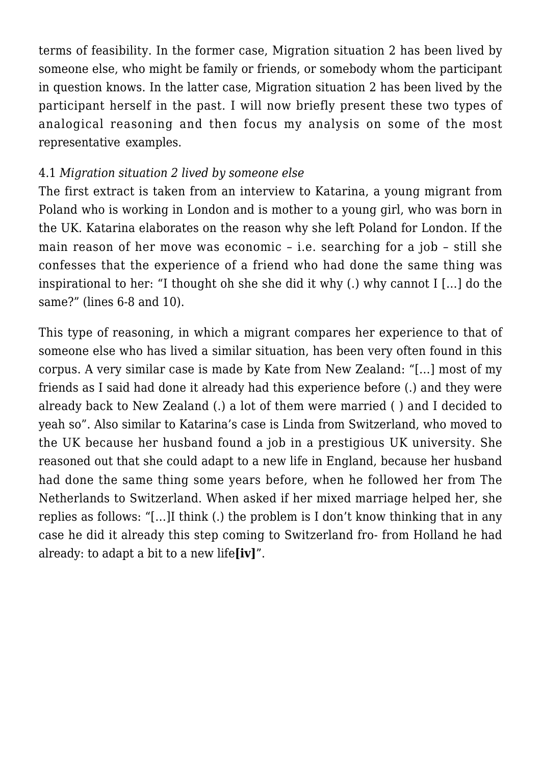terms of feasibility. In the former case, Migration situation 2 has been lived by someone else, who might be family or friends, or somebody whom the participant in question knows. In the latter case, Migration situation 2 has been lived by the participant herself in the past. I will now briefly present these two types of analogical reasoning and then focus my analysis on some of the most representative examples.

#### 4.1 *Migration situation 2 lived by someone else*

The first extract is taken from an interview to Katarina, a young migrant from Poland who is working in London and is mother to a young girl, who was born in the UK. Katarina elaborates on the reason why she left Poland for London. If the main reason of her move was economic – i.e. searching for a job – still she confesses that the experience of a friend who had done the same thing was inspirational to her: "I thought oh she she did it why (.) why cannot I […] do the same?" (lines 6-8 and 10).

This type of reasoning, in which a migrant compares her experience to that of someone else who has lived a similar situation, has been very often found in this corpus. A very similar case is made by Kate from New Zealand: "[…] most of my friends as I said had done it already had this experience before (.) and they were already back to New Zealand (.) a lot of them were married ( ) and I decided to yeah so". Also similar to Katarina's case is Linda from Switzerland, who moved to the UK because her husband found a job in a prestigious UK university. She reasoned out that she could adapt to a new life in England, because her husband had done the same thing some years before, when he followed her from The Netherlands to Switzerland. When asked if her mixed marriage helped her, she replies as follows: "[…]I think (.) the problem is I don't know thinking that in any case he did it already this step coming to Switzerland fro- from Holland he had already: to adapt a bit to a new life**[iv]**".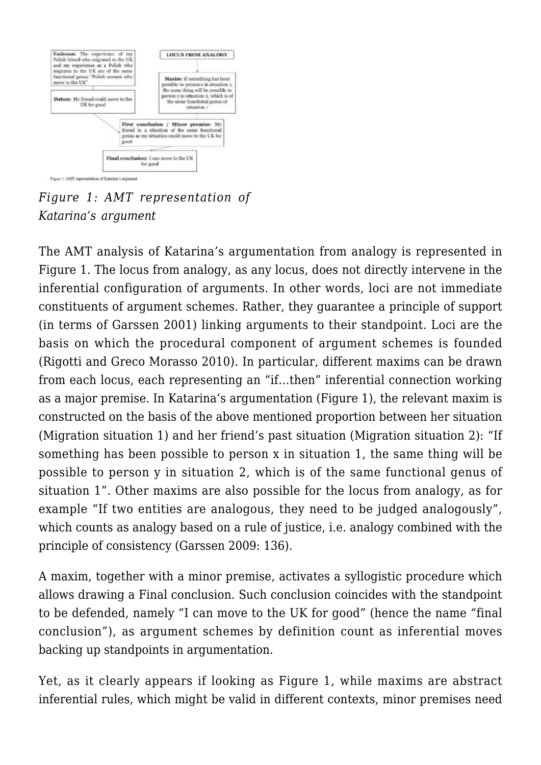

*Figure 1: AMT representation of Katarina's argument*

The AMT analysis of Katarina's argumentation from analogy is represented in Figure 1. The locus from analogy, as any locus, does not directly intervene in the inferential configuration of arguments. In other words, loci are not immediate constituents of argument schemes. Rather, they guarantee a principle of support (in terms of Garssen 2001) linking arguments to their standpoint. Loci are the basis on which the procedural component of argument schemes is founded (Rigotti and Greco Morasso 2010). In particular, different maxims can be drawn from each locus, each representing an "if…then" inferential connection working as a major premise. In Katarina's argumentation (Figure 1), the relevant maxim is constructed on the basis of the above mentioned proportion between her situation (Migration situation 1) and her friend's past situation (Migration situation 2): "If something has been possible to person x in situation 1, the same thing will be possible to person y in situation 2, which is of the same functional genus of situation 1". Other maxims are also possible for the locus from analogy, as for example "If two entities are analogous, they need to be judged analogously", which counts as analogy based on a rule of justice, i.e. analogy combined with the principle of consistency (Garssen 2009: 136).

A maxim, together with a minor premise, activates a syllogistic procedure which allows drawing a Final conclusion. Such conclusion coincides with the standpoint to be defended, namely "I can move to the UK for good" (hence the name "final conclusion"), as argument schemes by definition count as inferential moves backing up standpoints in argumentation.

Yet, as it clearly appears if looking as Figure 1, while maxims are abstract inferential rules, which might be valid in different contexts, minor premises need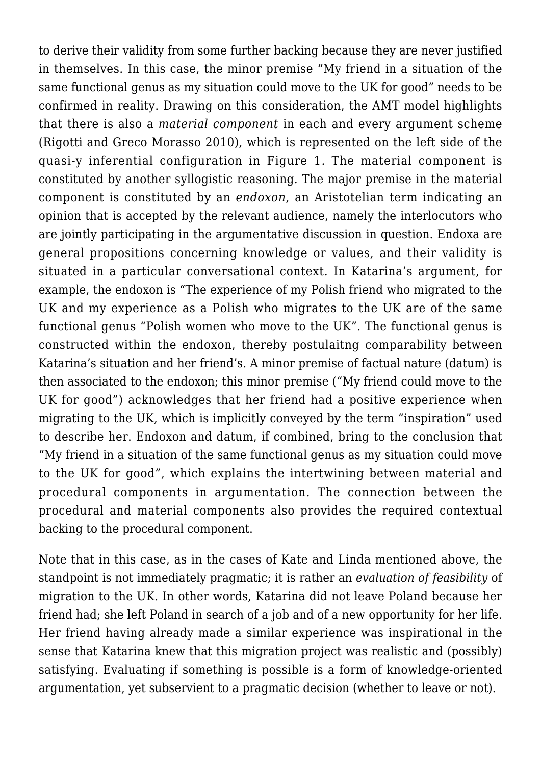to derive their validity from some further backing because they are never justified in themselves. In this case, the minor premise "My friend in a situation of the same functional genus as my situation could move to the UK for good" needs to be confirmed in reality. Drawing on this consideration, the AMT model highlights that there is also a *material component* in each and every argument scheme (Rigotti and Greco Morasso 2010), which is represented on the left side of the quasi-y inferential configuration in Figure 1. The material component is constituted by another syllogistic reasoning. The major premise in the material component is constituted by an *endoxon*, an Aristotelian term indicating an opinion that is accepted by the relevant audience, namely the interlocutors who are jointly participating in the argumentative discussion in question. Endoxa are general propositions concerning knowledge or values, and their validity is situated in a particular conversational context. In Katarina's argument, for example, the endoxon is "The experience of my Polish friend who migrated to the UK and my experience as a Polish who migrates to the UK are of the same functional genus "Polish women who move to the UK". The functional genus is constructed within the endoxon, thereby postulaitng comparability between Katarina's situation and her friend's. A minor premise of factual nature (datum) is then associated to the endoxon; this minor premise ("My friend could move to the UK for good") acknowledges that her friend had a positive experience when migrating to the UK, which is implicitly conveyed by the term "inspiration" used to describe her. Endoxon and datum, if combined, bring to the conclusion that "My friend in a situation of the same functional genus as my situation could move to the UK for good", which explains the intertwining between material and procedural components in argumentation. The connection between the procedural and material components also provides the required contextual backing to the procedural component.

Note that in this case, as in the cases of Kate and Linda mentioned above, the standpoint is not immediately pragmatic; it is rather an *evaluation of feasibility* of migration to the UK. In other words, Katarina did not leave Poland because her friend had; she left Poland in search of a job and of a new opportunity for her life. Her friend having already made a similar experience was inspirational in the sense that Katarina knew that this migration project was realistic and (possibly) satisfying. Evaluating if something is possible is a form of knowledge-oriented argumentation, yet subservient to a pragmatic decision (whether to leave or not).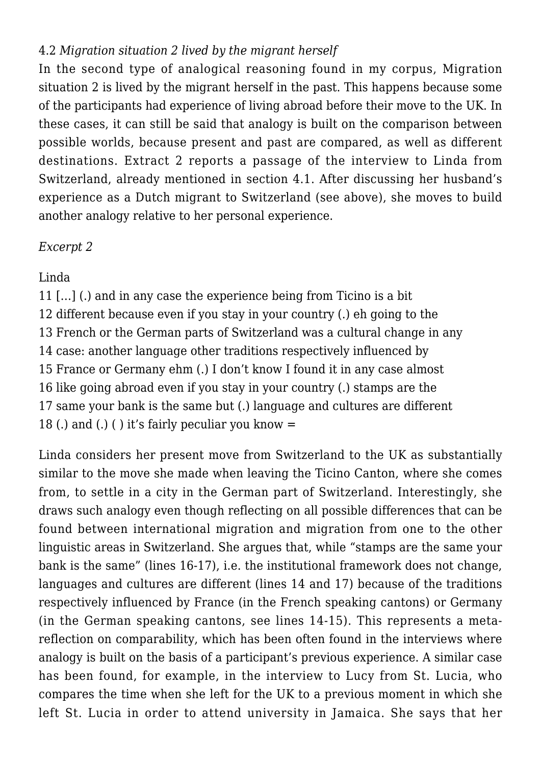# 4.2 *Migration situation 2 lived by the migrant herself*

In the second type of analogical reasoning found in my corpus, Migration situation 2 is lived by the migrant herself in the past. This happens because some of the participants had experience of living abroad before their move to the UK. In these cases, it can still be said that analogy is built on the comparison between possible worlds, because present and past are compared, as well as different destinations. Extract 2 reports a passage of the interview to Linda from Switzerland, already mentioned in section 4.1. After discussing her husband's experience as a Dutch migrant to Switzerland (see above), she moves to build another analogy relative to her personal experience.

#### *Excerpt 2*

## Linda

11 […] (.) and in any case the experience being from Ticino is a bit 12 different because even if you stay in your country (.) eh going to the 13 French or the German parts of Switzerland was a cultural change in any 14 case: another language other traditions respectively influenced by 15 France or Germany ehm (.) I don't know I found it in any case almost 16 like going abroad even if you stay in your country (.) stamps are the 17 same your bank is the same but (.) language and cultures are different 18 (.) and (.) () it's fairly peculiar you know  $=$ 

Linda considers her present move from Switzerland to the UK as substantially similar to the move she made when leaving the Ticino Canton, where she comes from, to settle in a city in the German part of Switzerland. Interestingly, she draws such analogy even though reflecting on all possible differences that can be found between international migration and migration from one to the other linguistic areas in Switzerland. She argues that, while "stamps are the same your bank is the same" (lines 16-17), i.e. the institutional framework does not change, languages and cultures are different (lines 14 and 17) because of the traditions respectively influenced by France (in the French speaking cantons) or Germany (in the German speaking cantons, see lines 14-15). This represents a metareflection on comparability, which has been often found in the interviews where analogy is built on the basis of a participant's previous experience. A similar case has been found, for example, in the interview to Lucy from St. Lucia, who compares the time when she left for the UK to a previous moment in which she left St. Lucia in order to attend university in Jamaica. She says that her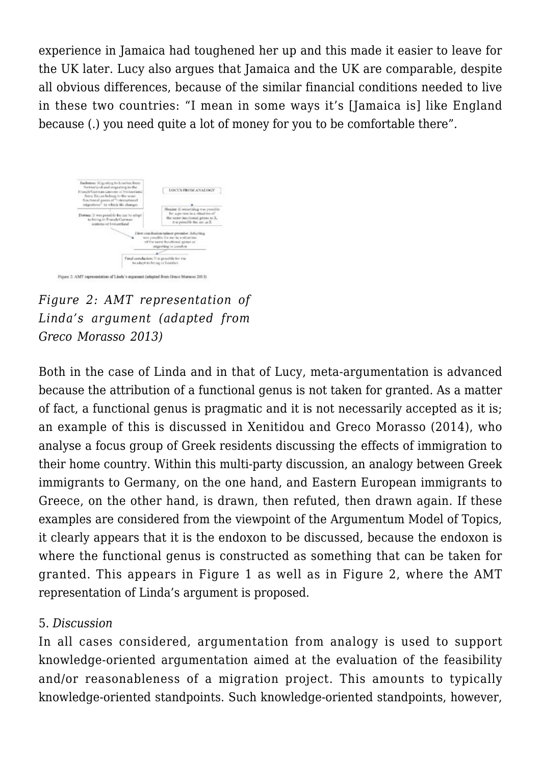experience in Jamaica had toughened her up and this made it easier to leave for the UK later. Lucy also argues that Jamaica and the UK are comparable, despite all obvious differences, because of the similar financial conditions needed to live in these two countries: "I mean in some ways it's [Jamaica is] like England because (.) you need quite a lot of money for you to be comfortable there".



Figure 2: AMT representation of Linda's argument (adapted from Greco Morasso 2013).

*Figure 2: AMT representation of Linda's argument (adapted from Greco Morasso 2013)*

Both in the case of Linda and in that of Lucy, meta-argumentation is advanced because the attribution of a functional genus is not taken for granted. As a matter of fact, a functional genus is pragmatic and it is not necessarily accepted as it is; an example of this is discussed in Xenitidou and Greco Morasso (2014), who analyse a focus group of Greek residents discussing the effects of immigration to their home country. Within this multi-party discussion, an analogy between Greek immigrants to Germany, on the one hand, and Eastern European immigrants to Greece, on the other hand, is drawn, then refuted, then drawn again. If these examples are considered from the viewpoint of the Argumentum Model of Topics, it clearly appears that it is the endoxon to be discussed, because the endoxon is where the functional genus is constructed as something that can be taken for granted. This appears in Figure 1 as well as in Figure 2, where the AMT representation of Linda's argument is proposed.

#### 5. *Discussion*

In all cases considered, argumentation from analogy is used to support knowledge-oriented argumentation aimed at the evaluation of the feasibility and/or reasonableness of a migration project. This amounts to typically knowledge-oriented standpoints. Such knowledge-oriented standpoints, however,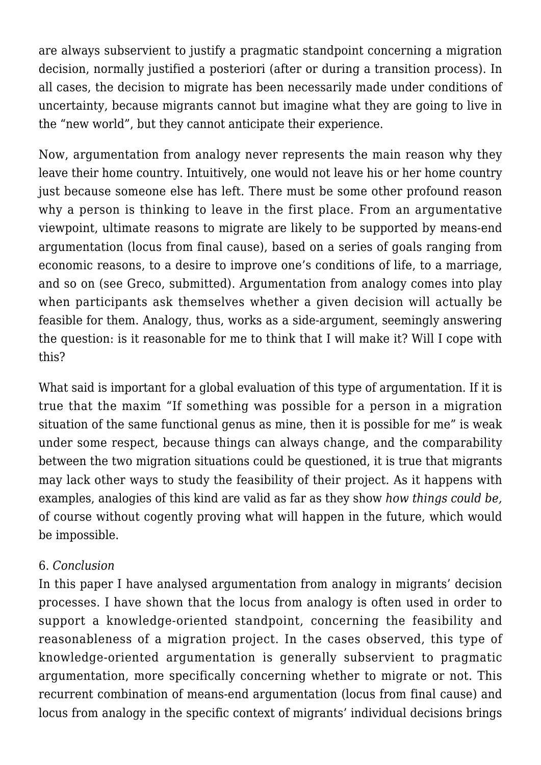are always subservient to justify a pragmatic standpoint concerning a migration decision, normally justified a posteriori (after or during a transition process). In all cases, the decision to migrate has been necessarily made under conditions of uncertainty, because migrants cannot but imagine what they are going to live in the "new world", but they cannot anticipate their experience.

Now, argumentation from analogy never represents the main reason why they leave their home country. Intuitively, one would not leave his or her home country just because someone else has left. There must be some other profound reason why a person is thinking to leave in the first place. From an argumentative viewpoint, ultimate reasons to migrate are likely to be supported by means-end argumentation (locus from final cause), based on a series of goals ranging from economic reasons, to a desire to improve one's conditions of life, to a marriage, and so on (see Greco, submitted). Argumentation from analogy comes into play when participants ask themselves whether a given decision will actually be feasible for them. Analogy, thus, works as a side-argument, seemingly answering the question: is it reasonable for me to think that I will make it? Will I cope with this?

What said is important for a global evaluation of this type of argumentation. If it is true that the maxim "If something was possible for a person in a migration situation of the same functional genus as mine, then it is possible for me" is weak under some respect, because things can always change, and the comparability between the two migration situations could be questioned, it is true that migrants may lack other ways to study the feasibility of their project. As it happens with examples, analogies of this kind are valid as far as they show *how things could be,* of course without cogently proving what will happen in the future, which would be impossible.

#### 6. *Conclusion*

In this paper I have analysed argumentation from analogy in migrants' decision processes. I have shown that the locus from analogy is often used in order to support a knowledge-oriented standpoint, concerning the feasibility and reasonableness of a migration project. In the cases observed, this type of knowledge-oriented argumentation is generally subservient to pragmatic argumentation, more specifically concerning whether to migrate or not. This recurrent combination of means-end argumentation (locus from final cause) and locus from analogy in the specific context of migrants' individual decisions brings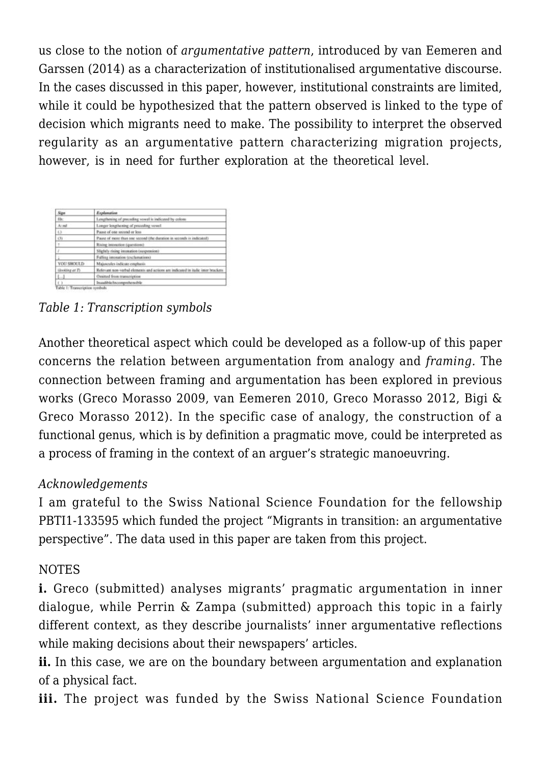us close to the notion of *argumentative pattern*, introduced by van Eemeren and Garssen (2014) as a characterization of institutionalised argumentative discourse. In the cases discussed in this paper, however, institutional constraints are limited, while it could be hypothesized that the pattern observed is linked to the type of decision which migrants need to make. The possibility to interpret the observed regularity as an argumentative pattern characterizing migration projects, however, is in need for further exploration at the theoretical level.

| Sign                | Explanation                                                                      |
|---------------------|----------------------------------------------------------------------------------|
| Bic                 | Lengthening of preceding vowel is indicated by colom-                            |
| $A$ : nd            | Longer lengthening of preceding vowel                                            |
| $\langle . \rangle$ | Pause of one second or less                                                      |
| (3)                 | Pause of more than one second (the duration in seconds is indicated).            |
|                     | Rising intonation (questions)                                                    |
|                     | Slightly rising intonation (suspension)                                          |
|                     | Falling internation (exclamations)                                               |
| <b>YOU SHOULD</b>   | Majorcules indicate emphasis                                                     |
| ilooking at Ty      | Relevant non-verbal elements and actions are indicated in italic inter brackets. |
|                     | <b>Onstad from managripties</b>                                                  |
| $\mathbf{r}$        | Instalible/incomprehensible                                                      |

*Table 1: Transcription symbols*

Another theoretical aspect which could be developed as a follow-up of this paper concerns the relation between argumentation from analogy and *framing.* The connection between framing and argumentation has been explored in previous works (Greco Morasso 2009, van Eemeren 2010, Greco Morasso 2012, Bigi & Greco Morasso 2012). In the specific case of analogy, the construction of a functional genus, which is by definition a pragmatic move, could be interpreted as a process of framing in the context of an arguer's strategic manoeuvring.

## *Acknowledgements*

I am grateful to the Swiss National Science Foundation for the fellowship PBTI1-133595 which funded the project "Migrants in transition: an argumentative perspective". The data used in this paper are taken from this project.

# NOTES

**i.** Greco (submitted) analyses migrants' pragmatic argumentation in inner dialogue, while Perrin & Zampa (submitted) approach this topic in a fairly different context, as they describe journalists' inner argumentative reflections while making decisions about their newspapers' articles.

**ii.** In this case, we are on the boundary between argumentation and explanation of a physical fact.

iii. The project was funded by the Swiss National Science Foundation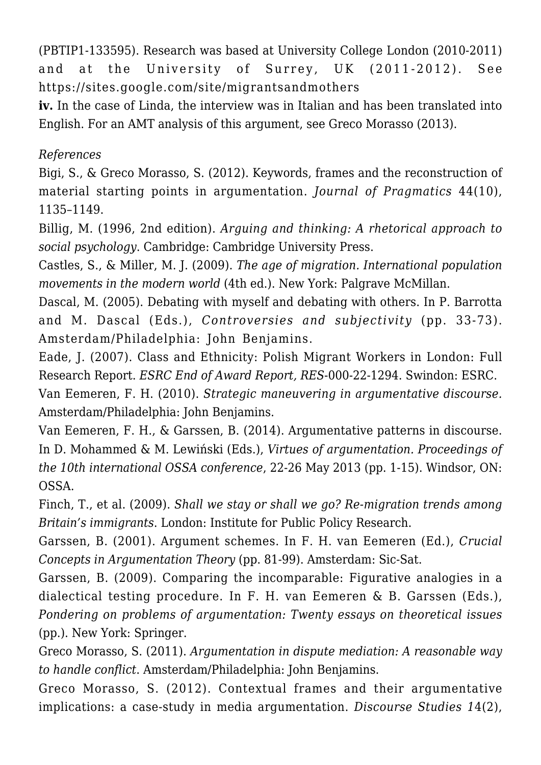(PBTIP1-133595). Research was based at University College London (2010-2011) and at the University of Surrey, UK (2011-2012). See https://sites.google.com/site/migrantsandmothers

**iv.** In the case of Linda, the interview was in Italian and has been translated into English. For an AMT analysis of this argument, see Greco Morasso (2013).

## *References*

Bigi, S., & Greco Morasso, S. (2012). Keywords, frames and the reconstruction of material starting points in argumentation. *Journal of Pragmatics* 44(10), 1135–1149.

Billig, M. (1996, 2nd edition). *Arguing and thinking: A rhetorical approach to social psychology*. Cambridge: Cambridge University Press.

Castles, S., & Miller, M. J. (2009). *The age of migration. International population movements in the modern world* (4th ed.). New York: Palgrave McMillan.

Dascal, M. (2005). Debating with myself and debating with others. In P. Barrotta and M. Dascal (Eds.), *Controversies and subjectivity* (pp. 33-73). Amsterdam/Philadelphia: John Benjamins.

Eade, J. (2007). Class and Ethnicity: Polish Migrant Workers in London: Full Research Report. *ESRC End of Award Report, RES*-000-22-1294. Swindon: ESRC.

Van Eemeren, F. H. (2010). *Strategic maneuvering in argumentative discourse.* Amsterdam/Philadelphia: John Benjamins.

Van Eemeren, F. H., & Garssen, B. (2014). Argumentative patterns in discourse. In D. Mohammed & M. Lewiński (Eds.), *Virtues of argumentation. Proceedings of the 10th international OSSA conference*, 22-26 May 2013 (pp. 1-15). Windsor, ON: OSSA.

Finch, T., et al. (2009). *Shall we stay or shall we go? Re-migration trends among Britain's immigrants*. London: Institute for Public Policy Research.

Garssen, B. (2001). Argument schemes. In F. H. van Eemeren (Ed.), *Crucial Concepts in Argumentation Theory* (pp. 81-99). Amsterdam: Sic-Sat.

Garssen, B. (2009). Comparing the incomparable: Figurative analogies in a dialectical testing procedure. In F. H. van Eemeren & B. Garssen (Eds.), *Pondering on problems of argumentation: Twenty essays on theoretical issues* (pp.). New York: Springer.

Greco Morasso, S. (2011). *Argumentation in dispute mediation: A reasonable way to handle conflict*. Amsterdam/Philadelphia: John Benjamins.

Greco Morasso, S. (2012). Contextual frames and their argumentative implications: a case-study in media argumentation. *Discourse Studies 1*4(2),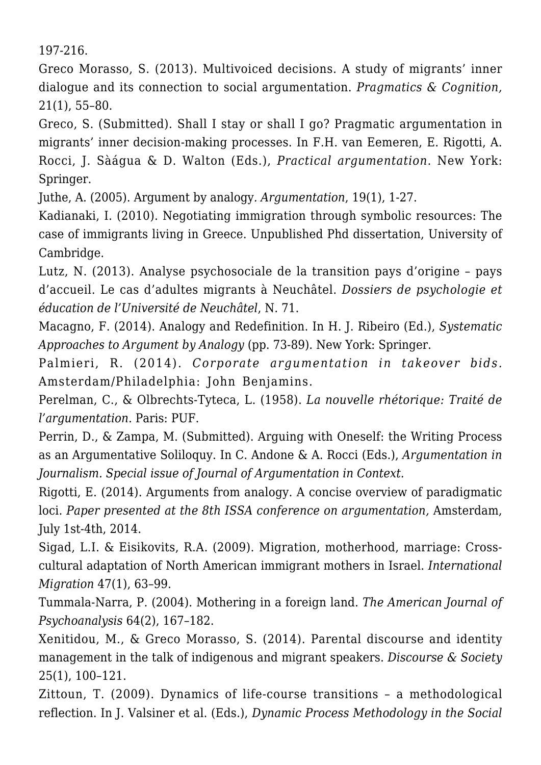197-216.

Greco Morasso, S. (2013). Multivoiced decisions. A study of migrants' inner dialogue and its connection to social argumentation. *Pragmatics & Cognition,* 21(1), 55–80.

Greco, S. (Submitted). Shall I stay or shall I go? Pragmatic argumentation in migrants' inner decision-making processes. In F.H. van Eemeren, E. Rigotti, A. Rocci, J. Sàágua & D. Walton (Eds.), *Practical argumentation*. New York: Springer.

Juthe, A. (2005). Argument by analogy*. Argumentation*, 19(1), 1-27.

Kadianaki, I. (2010). Negotiating immigration through symbolic resources: The case of immigrants living in Greece. Unpublished Phd dissertation, University of Cambridge.

Lutz, N. (2013). Analyse psychosociale de la transition pays d'origine – pays d'accueil. Le cas d'adultes migrants à Neuchâtel. *Dossiers de psychologie et éducation de l'Université de Neuchâtel*, N. 71.

Macagno, F. (2014). Analogy and Redefinition. In H. J. Ribeiro (Ed.), *Systematic Approaches to Argument by Analogy* (pp. 73-89). New York: Springer.

Palmieri, R. (2014). *Corporate argumentation in takeover bids.* Amsterdam/Philadelphia: John Benjamins.

Perelman, C., & Olbrechts-Tyteca, L. (1958). *La nouvelle rhétorique: Traité de l'argumentation*. Paris: PUF.

Perrin, D., & Zampa, M. (Submitted). Arguing with Oneself: the Writing Process as an Argumentative Soliloquy. In C. Andone & A. Rocci (Eds.), *Argumentation in Journalism. Special issue of Journal of Argumentation in Context.*

Rigotti, E. (2014). Arguments from analogy. A concise overview of paradigmatic loci. *Paper presented at the 8th ISSA conference on argumentation,* Amsterdam, July 1st-4th, 2014.

Sigad, L.I. & Eisikovits, R.A. (2009). Migration, motherhood, marriage: Crosscultural adaptation of North American immigrant mothers in Israel. *International Migration* 47(1), 63–99.

Tummala-Narra, P. (2004). Mothering in a foreign land. *The American Journal of Psychoanalysis* 64(2), 167–182.

Xenitidou, M., & Greco Morasso, S. (2014). Parental discourse and identity management in the talk of indigenous and migrant speakers. *Discourse & Society* 25(1), 100–121.

Zittoun, T. (2009). Dynamics of life-course transitions – a methodological reflection. In J. Valsiner et al. (Eds.), *Dynamic Process Methodology in the Social*